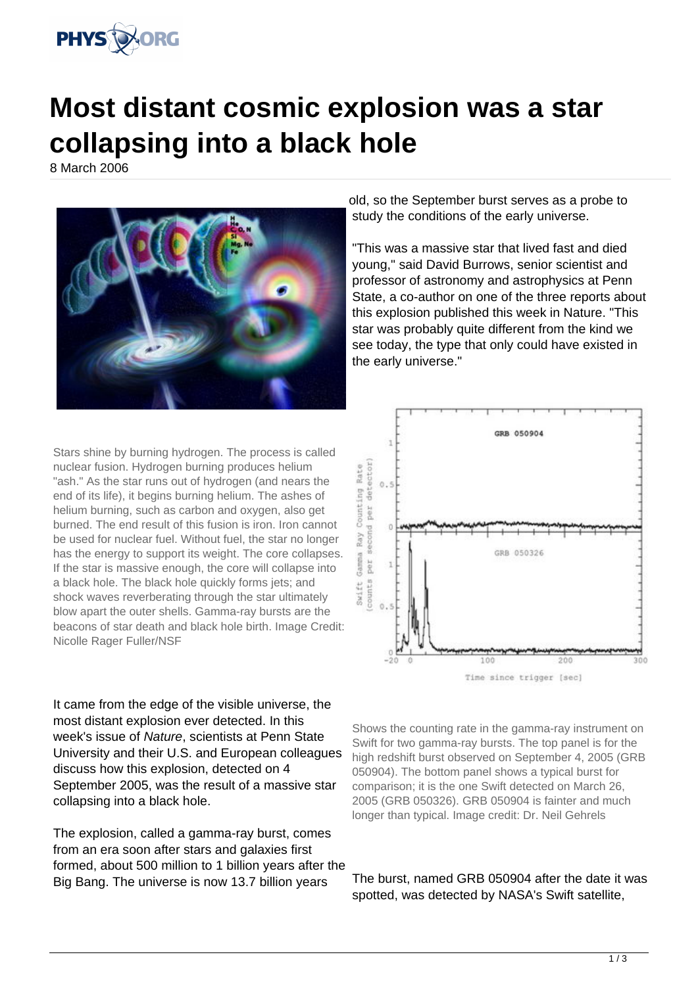

## **Most distant cosmic explosion was a star collapsing into a black hole**

8 March 2006



Stars shine by burning hydrogen. The process is called nuclear fusion. Hydrogen burning produces helium "ash." As the star runs out of hydrogen (and nears the end of its life), it begins burning helium. The ashes of helium burning, such as carbon and oxygen, also get burned. The end result of this fusion is iron. Iron cannot be used for nuclear fuel. Without fuel, the star no longer has the energy to support its weight. The core collapses. If the star is massive enough, the core will collapse into a black hole. The black hole quickly forms jets; and shock waves reverberating through the star ultimately blow apart the outer shells. Gamma-ray bursts are the beacons of star death and black hole birth. Image Credit: Nicolle Rager Fuller/NSF

It came from the edge of the visible universe, the most distant explosion ever detected. In this week's issue of Nature, scientists at Penn State University and their U.S. and European colleagues discuss how this explosion, detected on 4 September 2005, was the result of a massive star collapsing into a black hole.

The explosion, called a gamma-ray burst, comes from an era soon after stars and galaxies first formed, about 500 million to 1 billion years after the Big Bang. The universe is now 13.7 billion years

old, so the September burst serves as a probe to study the conditions of the early universe.

"This was a massive star that lived fast and died young," said David Burrows, senior scientist and professor of astronomy and astrophysics at Penn State, a co-author on one of the three reports about this explosion published this week in Nature. "This star was probably quite different from the kind we see today, the type that only could have existed in the early universe."



Shows the counting rate in the gamma-ray instrument on Swift for two gamma-ray bursts. The top panel is for the high redshift burst observed on September 4, 2005 (GRB 050904). The bottom panel shows a typical burst for comparison; it is the one Swift detected on March 26, 2005 (GRB 050326). GRB 050904 is fainter and much longer than typical. Image credit: Dr. Neil Gehrels

The burst, named GRB 050904 after the date it was spotted, was detected by NASA's Swift satellite,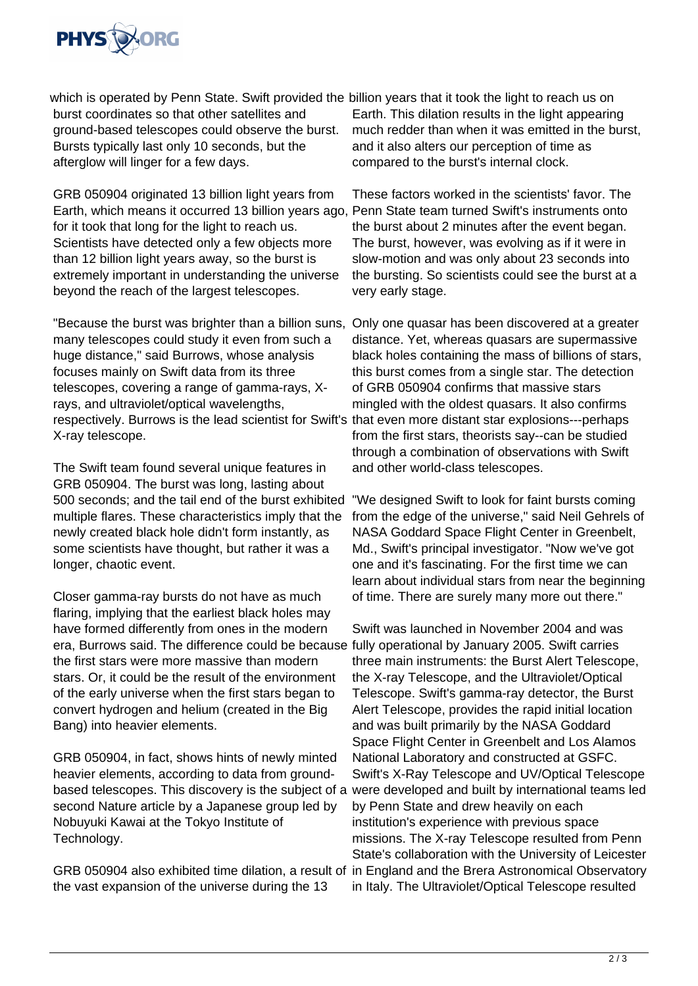

which is operated by Penn State. Swift provided the billion years that it took the light to reach us on burst coordinates so that other satellites and ground-based telescopes could observe the burst. Bursts typically last only 10 seconds, but the afterglow will linger for a few days.

GRB 050904 originated 13 billion light years from Earth, which means it occurred 13 billion years ago, Penn State team turned Swift's instruments onto for it took that long for the light to reach us. Scientists have detected only a few objects more than 12 billion light years away, so the burst is extremely important in understanding the universe beyond the reach of the largest telescopes.

"Because the burst was brighter than a billion suns, Only one quasar has been discovered at a greater many telescopes could study it even from such a huge distance," said Burrows, whose analysis focuses mainly on Swift data from its three telescopes, covering a range of gamma-rays, Xrays, and ultraviolet/optical wavelengths, respectively. Burrows is the lead scientist for Swift's that even more distant star explosions---perhaps X-ray telescope.

The Swift team found several unique features in GRB 050904. The burst was long, lasting about 500 seconds; and the tail end of the burst exhibited multiple flares. These characteristics imply that the newly created black hole didn't form instantly, as some scientists have thought, but rather it was a longer, chaotic event.

Closer gamma-ray bursts do not have as much flaring, implying that the earliest black holes may have formed differently from ones in the modern era, Burrows said. The difference could be because the first stars were more massive than modern stars. Or, it could be the result of the environment of the early universe when the first stars began to convert hydrogen and helium (created in the Big Bang) into heavier elements.

GRB 050904, in fact, shows hints of newly minted heavier elements, according to data from groundbased telescopes. This discovery is the subject of a second Nature article by a Japanese group led by Nobuyuki Kawai at the Tokyo Institute of Technology.

GRB 050904 also exhibited time dilation, a result of the vast expansion of the universe during the 13

Earth. This dilation results in the light appearing much redder than when it was emitted in the burst, and it also alters our perception of time as compared to the burst's internal clock.

These factors worked in the scientists' favor. The the burst about 2 minutes after the event began. The burst, however, was evolving as if it were in slow-motion and was only about 23 seconds into the bursting. So scientists could see the burst at a very early stage.

distance. Yet, whereas quasars are supermassive black holes containing the mass of billions of stars, this burst comes from a single star. The detection of GRB 050904 confirms that massive stars mingled with the oldest quasars. It also confirms from the first stars, theorists say--can be studied through a combination of observations with Swift and other world-class telescopes.

"We designed Swift to look for faint bursts coming from the edge of the universe," said Neil Gehrels of NASA Goddard Space Flight Center in Greenbelt, Md., Swift's principal investigator. "Now we've got one and it's fascinating. For the first time we can learn about individual stars from near the beginning of time. There are surely many more out there."

Swift was launched in November 2004 and was fully operational by January 2005. Swift carries three main instruments: the Burst Alert Telescope, the X-ray Telescope, and the Ultraviolet/Optical Telescope. Swift's gamma-ray detector, the Burst Alert Telescope, provides the rapid initial location and was built primarily by the NASA Goddard Space Flight Center in Greenbelt and Los Alamos National Laboratory and constructed at GSFC. Swift's X-Ray Telescope and UV/Optical Telescope were developed and built by international teams led by Penn State and drew heavily on each institution's experience with previous space missions. The X-ray Telescope resulted from Penn State's collaboration with the University of Leicester in England and the Brera Astronomical Observatory in Italy. The Ultraviolet/Optical Telescope resulted